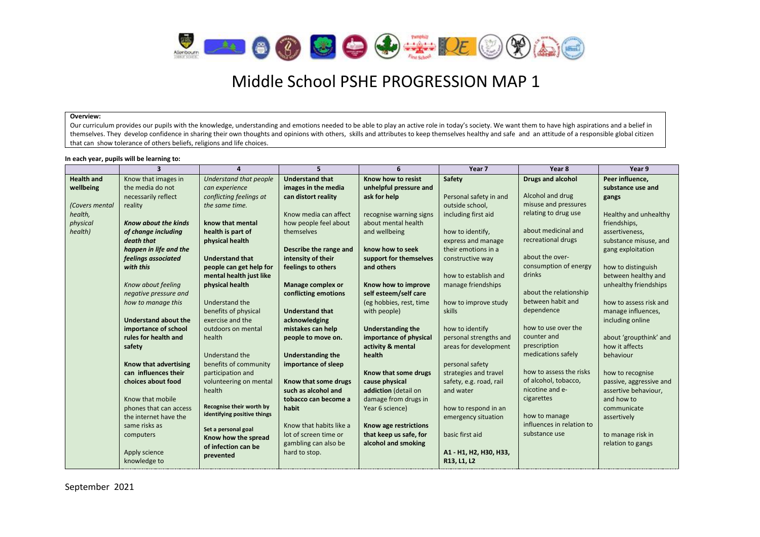

#### **Overview:**

Our curriculum provides our pupils with the knowledge, understanding and emotions needed to be able to play an active role in today's society. We want them to have high aspirations and a belief in themselves. They develop confidence in sharing their own thoughts and opinions with others, skills and attributes to keep themselves healthy and safe and an attitude of a responsible global citizen that can show tolerance of others beliefs, religions and life choices.

#### **In each year, pupils will be learning to:**

**Stripe** 

|                   | $\overline{3}$              |                                                         | 5.                       | 6                        | Year 7                  | Year 8                    | Year 9                  |
|-------------------|-----------------------------|---------------------------------------------------------|--------------------------|--------------------------|-------------------------|---------------------------|-------------------------|
| <b>Health and</b> | Know that images in         | Understand that people                                  | <b>Understand that</b>   | Know how to resist       | Safety                  | Drugs and alcohol         | Peer influence,         |
| wellbeing         | the media do not            | can experience                                          | images in the media      | unhelpful pressure and   |                         |                           | substance use and       |
|                   | necessarily reflect         | conflicting feelings at                                 | can distort reality      | ask for help             | Personal safety in and  | Alcohol and drug          | gangs                   |
| (Covers mental    | reality                     | the same time.                                          |                          |                          | outside school.         | misuse and pressures      |                         |
| health,           |                             |                                                         | Know media can affect    | recognise warning signs  | including first aid     | relating to drug use      | Healthy and unhealthy   |
| physical          | <b>Know about the kinds</b> | know that mental                                        | how people feel about    | about mental health      |                         |                           | friendships,            |
| health)           | of change including         | health is part of                                       | themselves               | and wellbeing            | how to identify,        | about medicinal and       | assertiveness,          |
|                   | death that                  | physical health                                         |                          |                          | express and manage      | recreational drugs        | substance misuse, and   |
|                   | happen in life and the      |                                                         | Describe the range and   | know how to seek         | their emotions in a     |                           | gang exploitation       |
|                   | feelings associated         | <b>Understand that</b>                                  | intensity of their       | support for themselves   | constructive way        | about the over-           |                         |
|                   | with this                   | people can get help for                                 | feelings to others       | and others               |                         | consumption of energy     | how to distinguish      |
|                   |                             | mental health just like                                 |                          |                          | how to establish and    | drinks                    | between healthy and     |
|                   | Know about feeling          | physical health                                         | Manage complex or        | Know how to improve      | manage friendships      |                           | unhealthy friendships   |
|                   | negative pressure and       |                                                         | conflicting emotions     | self esteem/self care    |                         | about the relationship    |                         |
|                   | how to manage this          | Understand the                                          |                          | (eg hobbies, rest, time  | how to improve study    | between habit and         | how to assess risk and  |
|                   |                             | benefits of physical                                    | <b>Understand that</b>   | with people)             | skills                  | dependence                | manage influences,      |
|                   | <b>Understand about the</b> | exercise and the                                        | acknowledging            |                          |                         |                           | including online        |
|                   | importance of school        | outdoors on mental                                      | mistakes can help        | <b>Understanding the</b> | how to identify         | how to use over the       |                         |
|                   | rules for health and        | health                                                  | people to move on.       | importance of physical   | personal strengths and  | counter and               | about 'groupthink' and  |
|                   | safety                      |                                                         |                          | activity & mental        | areas for development   | prescription              | how it affects          |
|                   |                             | Understand the                                          | <b>Understanding the</b> | health                   |                         | medications safely        | behaviour               |
|                   | Know that advertising       | benefits of community                                   | importance of sleep      |                          | personal safety         |                           |                         |
|                   | can influences their        | participation and                                       |                          | Know that some drugs     | strategies and travel   | how to assess the risks   | how to recognise        |
|                   | choices about food          | volunteering on mental                                  | Know that some drugs     | cause physical           | safety, e.g. road, rail | of alcohol, tobacco,      | passive, aggressive and |
|                   |                             | health                                                  | such as alcohol and      | addiction (detail on     | and water               | nicotine and e-           | assertive behaviour,    |
|                   | Know that mobile            |                                                         | tobacco can become a     | damage from drugs in     |                         | cigarettes                | and how to              |
|                   | phones that can access      | Recognise their worth by<br>identifying positive things | habit                    | Year 6 science)          | how to respond in an    |                           | communicate             |
|                   | the internet have the       |                                                         |                          |                          | emergency situation     | how to manage             | assertively             |
|                   | same risks as               | Set a personal goal                                     | Know that habits like a  | Know age restrictions    |                         | influences in relation to |                         |
|                   | computers                   | Know how the spread                                     | lot of screen time or    | that keep us safe, for   | basic first aid         | substance use             | to manage risk in       |
|                   |                             | of infection can be                                     | gambling can also be     | alcohol and smoking      |                         |                           | relation to gangs       |
|                   | Apply science               | prevented                                               | hard to stop.            |                          | A1 - H1, H2, H30, H33,  |                           |                         |
|                   | knowledge to                |                                                         |                          |                          | R13, L1, L2             |                           |                         |

September 2021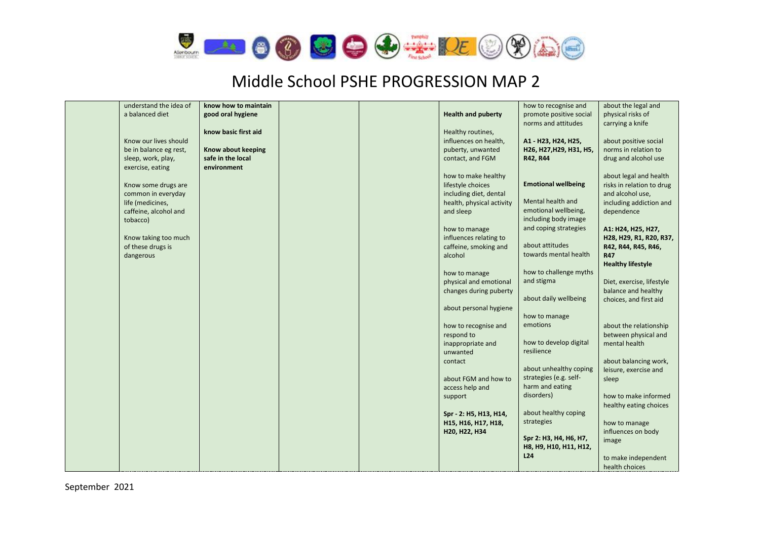

| understand the idea of | know how to maintain |  |                           | how to recognise and       | about the legal and       |
|------------------------|----------------------|--|---------------------------|----------------------------|---------------------------|
| a balanced diet        | good oral hygiene    |  | <b>Health and puberty</b> | promote positive social    | physical risks of         |
|                        |                      |  |                           | norms and attitudes        | carrying a knife          |
|                        | know basic first aid |  | Healthy routines,         |                            |                           |
| Know our lives should  |                      |  | influences on health,     | A1 - H23, H24, H25,        | about positive social     |
| be in balance eg rest, | Know about keeping   |  | puberty, unwanted         | H26, H27, H29, H31, H5,    | norms in relation to      |
|                        |                      |  |                           |                            |                           |
| sleep, work, play,     | safe in the local    |  | contact, and FGM          | R42, R44                   | drug and alcohol use      |
| exercise, eating       | environment          |  |                           |                            |                           |
|                        |                      |  | how to make healthy       |                            | about legal and health    |
| Know some drugs are    |                      |  | lifestyle choices         | <b>Emotional wellbeing</b> | risks in relation to drug |
| common in everyday     |                      |  | including diet, dental    |                            | and alcohol use,          |
| life (medicines,       |                      |  | health, physical activity | Mental health and          | including addiction and   |
| caffeine, alcohol and  |                      |  | and sleep                 | emotional wellbeing,       | dependence                |
| tobacco)               |                      |  |                           | including body image       |                           |
|                        |                      |  | how to manage             | and coping strategies      | A1: H24, H25, H27,        |
| Know taking too much   |                      |  | influences relating to    |                            | H28, H29, R1, R20, R37,   |
| of these drugs is      |                      |  | caffeine, smoking and     | about attitudes            | R42, R44, R45, R46,       |
| dangerous              |                      |  | alcohol                   | towards mental health      | <b>R47</b>                |
|                        |                      |  |                           |                            | <b>Healthy lifestyle</b>  |
|                        |                      |  | how to manage             | how to challenge myths     |                           |
|                        |                      |  | physical and emotional    | and stigma                 | Diet, exercise, lifestyle |
|                        |                      |  | changes during puberty    |                            | balance and healthy       |
|                        |                      |  |                           | about daily wellbeing      | choices, and first aid    |
|                        |                      |  |                           |                            |                           |
|                        |                      |  | about personal hygiene    | how to manage              |                           |
|                        |                      |  |                           | emotions                   |                           |
|                        |                      |  | how to recognise and      |                            | about the relationship    |
|                        |                      |  | respond to                |                            | between physical and      |
|                        |                      |  | inappropriate and         | how to develop digital     | mental health             |
|                        |                      |  | unwanted                  | resilience                 |                           |
|                        |                      |  | contact                   |                            | about balancing work,     |
|                        |                      |  |                           | about unhealthy coping     | leisure, exercise and     |
|                        |                      |  | about FGM and how to      | strategies (e.g. self-     | sleep                     |
|                        |                      |  | access help and           | harm and eating            |                           |
|                        |                      |  | support                   | disorders)                 | how to make informed      |
|                        |                      |  |                           |                            | healthy eating choices    |
|                        |                      |  | Spr - 2: H5, H13, H14,    | about healthy coping       |                           |
|                        |                      |  | H15, H16, H17, H18,       | strategies                 | how to manage             |
|                        |                      |  | H20, H22, H34             |                            | influences on body        |
|                        |                      |  |                           | Spr 2: H3, H4, H6, H7,     | image                     |
|                        |                      |  |                           | H8, H9, H10, H11, H12,     |                           |
|                        |                      |  |                           | L <sub>24</sub>            | to make independent       |
|                        |                      |  |                           |                            |                           |
|                        |                      |  |                           |                            | health choices            |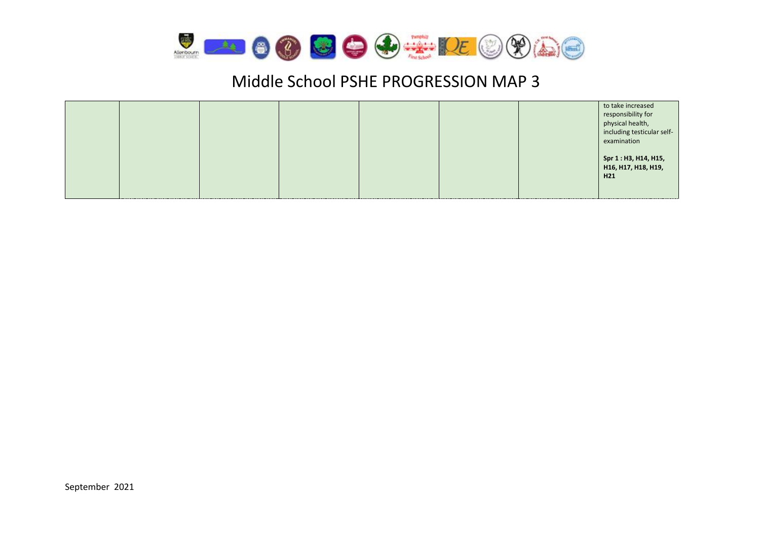

|                                                                                                                                                                             |  |  | to take increased<br>responsibility for<br>physical health,<br>including testicular self-<br>examination |
|-----------------------------------------------------------------------------------------------------------------------------------------------------------------------------|--|--|----------------------------------------------------------------------------------------------------------|
| $\mathcal{L}^{\text{max}}_{\text{max}}$ and $\mathcal{L}^{\text{max}}_{\text{max}}$ and $\mathcal{L}^{\text{max}}_{\text{max}}$ and $\mathcal{L}^{\text{max}}_{\text{max}}$ |  |  | Spr 1 : H3, H14, H15,<br>H16, H17, H18, H19,<br>H <sub>21</sub>                                          |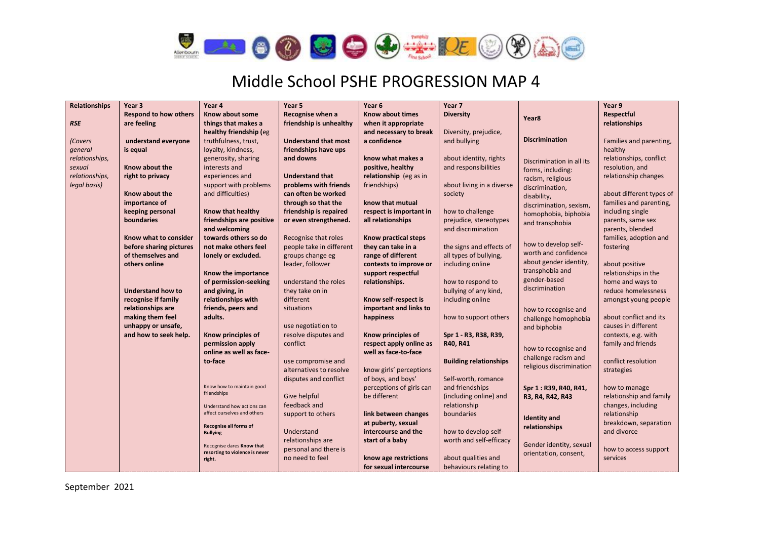$\frac{1}{\sqrt{2}}$ 



# Middle School PSHE PROGRESSION MAP 4

| <b>Relationships</b> | Year <sub>3</sub>            | Year 4                                   | Year 5                      | Year 6                   | Year 7                        |                           | Year 9                   |
|----------------------|------------------------------|------------------------------------------|-----------------------------|--------------------------|-------------------------------|---------------------------|--------------------------|
|                      | <b>Respond to how others</b> | Know about some                          | Recognise when a            | <b>Know about times</b>  | <b>Diversity</b>              | Year <sub>8</sub>         | Respectful               |
| <b>RSE</b>           | are feeling                  | things that makes a                      | friendship is unhealthy     | when it appropriate      |                               |                           | relationships            |
|                      |                              | healthy friendship (eg                   |                             | and necessary to break   | Diversity, prejudice,         |                           |                          |
| (Covers              | understand everyone          | truthfulness, trust,                     | <b>Understand that most</b> | a confidence             | and bullying                  | <b>Discrimination</b>     | Families and parenting,  |
| general              | is equal                     | loyalty, kindness,                       | friendships have ups        |                          |                               |                           | healthy                  |
| relationships,       |                              | generosity, sharing                      | and downs                   | know what makes a        | about identity, rights        | Discrimination in all its | relationships, conflict  |
| sexual               | Know about the               | interests and                            |                             | positive, healthy        | and responsibilities          | forms, including:         | resolution, and          |
| relationships,       | right to privacy             | experiences and                          | <b>Understand that</b>      | relationship (eg as in   |                               | racism, religious         | relationship changes     |
| legal basis)         |                              | support with problems                    | problems with friends       | friendships)             | about living in a diverse     | discrimination,           |                          |
|                      | Know about the               | and difficulties)                        | can often be worked         |                          | society                       | disability,               | about different types of |
|                      | importance of                |                                          | through so that the         | know that mutual         |                               | discrimination, sexism,   | families and parenting,  |
|                      | keeping personal             | <b>Know that healthy</b>                 | friendship is repaired      | respect is important in  | how to challenge              | homophobia, biphobia      | including single         |
|                      | boundaries                   | friendships are positive                 | or even strengthened.       | all relationships        | prejudice, stereotypes        | and transphobia           | parents, same sex        |
|                      |                              | and welcoming                            |                             |                          | and discrimination            |                           | parents, blended         |
|                      | Know what to consider        | towards others so do                     | Recognise that roles        | Know practical steps     |                               |                           | families, adoption and   |
|                      | before sharing pictures      | not make others feel                     | people take in different    | they can take in a       | the signs and effects of      | how to develop self-      | fostering                |
|                      | of themselves and            | lonely or excluded.                      | groups change eg            | range of different       | all types of bullying,        | worth and confidence      |                          |
|                      | others online                |                                          | leader, follower            | contexts to improve or   | including online              | about gender identity,    | about positive           |
|                      |                              | Know the importance                      |                             | support respectful       |                               | transphobia and           | relationships in the     |
|                      |                              | of permission-seeking                    | understand the roles        | relationships.           | how to respond to             | gender-based              | home and ways to         |
|                      | <b>Understand how to</b>     | and giving, in                           | they take on in             |                          | bullying of any kind,         | discrimination            | reduce homelessness      |
|                      | recognise if family          | relationships with                       | different                   | Know self-respect is     | including online              |                           | amongst young people     |
|                      | relationships are            | friends, peers and                       | situations                  | important and links to   |                               | how to recognise and      |                          |
|                      | making them feel             | adults.                                  |                             | happiness                | how to support others         | challenge homophobia      | about conflict and its   |
|                      | unhappy or unsafe,           |                                          | use negotiation to          |                          |                               | and biphobia              | causes in different      |
|                      | and how to seek help.        | Know principles of                       | resolve disputes and        | Know principles of       | Spr 1 - R3, R38, R39,         |                           | contexts, e.g. with      |
|                      |                              | permission apply                         | conflict                    | respect apply online as  | R40, R41                      | how to recognise and      | family and friends       |
|                      |                              | online as well as face-                  |                             | well as face-to-face     |                               | challenge racism and      |                          |
|                      |                              | to-face                                  | use compromise and          |                          | <b>Building relationships</b> | religious discrimination  | conflict resolution      |
|                      |                              |                                          | alternatives to resolve     | know girls' perceptions  |                               |                           | strategies               |
|                      |                              |                                          | disputes and conflict       | of boys, and boys'       | Self-worth, romance           |                           |                          |
|                      |                              | Know how to maintain good<br>friendships |                             | perceptions of girls can | and friendships               | Spr 1: R39, R40, R41,     | how to manage            |
|                      |                              |                                          | Give helpful                | be different             | (including online) and        | R3, R4, R42, R43          | relationship and family  |
|                      |                              | Understand how actions can               | feedback and                |                          | relationship                  |                           | changes, including       |
|                      |                              | affect ourselves and others              | support to others           | link between changes     | boundaries                    | <b>Identity</b> and       | relationship             |
|                      |                              | Recognise all forms of                   |                             | at puberty, sexual       |                               | relationships             | breakdown, separation    |
|                      |                              | <b>Bullying</b>                          | Understand                  | intercourse and the      | how to develop self-          |                           | and divorce              |
|                      |                              | Recognise dares Know that                | relationships are           | start of a baby          | worth and self-efficacy       | Gender identity, sexual   |                          |
|                      |                              | resorting to violence is never           | personal and there is       |                          |                               | orientation, consent,     | how to access support    |
|                      |                              | right.                                   | no need to feel             | know age restrictions    | about qualities and           |                           | services                 |
|                      |                              |                                          |                             | for sexual intercourse   | behaviours relating to        |                           |                          |

September 2021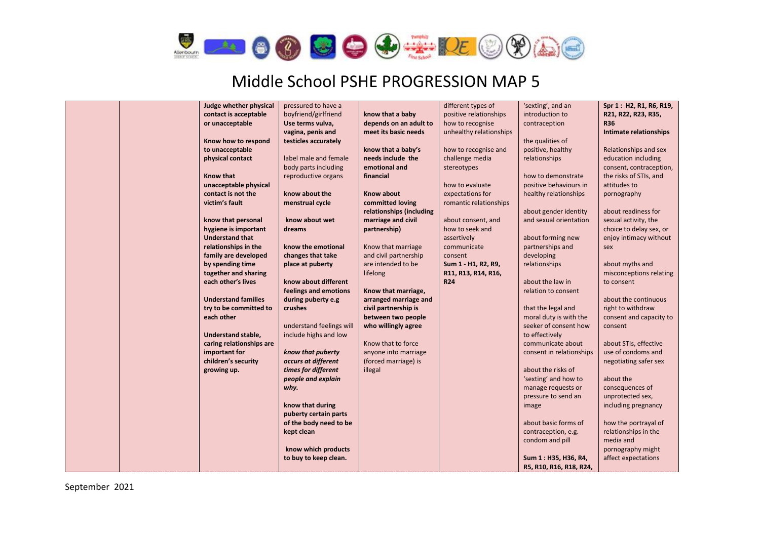$\bigotimes$ 



|  | Judge whether physical     | pressured to have a      |                          | different types of      | 'sexting', and an        | Spr 1: H2, R1, R6, R19, |
|--|----------------------------|--------------------------|--------------------------|-------------------------|--------------------------|-------------------------|
|  | contact is acceptable      |                          |                          |                         |                          |                         |
|  |                            | boyfriend/girlfriend     | know that a baby         | positive relationships  | introduction to          | R21, R22, R23, R35,     |
|  | or unacceptable            | Use terms vulva,         | depends on an adult to   | how to recognise        | contraception            | <b>R36</b>              |
|  |                            | vagina, penis and        | meet its basic needs     | unhealthy relationships |                          | Intimate relationships  |
|  | Know how to respond        | testicles accurately     |                          |                         | the qualities of         |                         |
|  | to unacceptable            |                          | know that a baby's       | how to recognise and    | positive, healthy        | Relationships and sex   |
|  | physical contact           | label male and female    | needs include the        | challenge media         | relationships            | education including     |
|  |                            | body parts including     | emotional and            | stereotypes             |                          | consent, contraception, |
|  | <b>Know that</b>           | reproductive organs      | financial                |                         | how to demonstrate       | the risks of STIs, and  |
|  | unacceptable physical      |                          |                          | how to evaluate         | positive behaviours in   | attitudes to            |
|  | contact is not the         | know about the           | <b>Know about</b>        | expectations for        | healthy relationships    | pornography             |
|  | victim's fault             | menstrual cycle          | committed loving         | romantic relationships  |                          |                         |
|  |                            |                          | relationships (including |                         | about gender identity    | about readiness for     |
|  | know that personal         | know about wet           | marriage and civil       | about consent, and      | and sexual orientation   | sexual activity, the    |
|  | hygiene is important       | dreams                   | partnership)             | how to seek and         |                          | choice to delay sex, or |
|  | <b>Understand that</b>     |                          |                          | assertively             | about forming new        | enjoy intimacy without  |
|  | relationships in the       | know the emotional       | Know that marriage       | communicate             | partnerships and         | sex                     |
|  | family are developed       | changes that take        | and civil partnership    | consent                 | developing               |                         |
|  | by spending time           | place at puberty         | are intended to be       | Sum 1 - H1, R2, R9,     | relationships            | about myths and         |
|  | together and sharing       |                          | lifelong                 | R11, R13, R14, R16,     |                          | misconceptions relating |
|  | each other's lives         | know about different     |                          | <b>R24</b>              | about the law in         | to consent              |
|  |                            | feelings and emotions    | Know that marriage,      |                         | relation to consent      |                         |
|  | <b>Understand families</b> | during puberty e.g       | arranged marriage and    |                         |                          | about the continuous    |
|  | try to be committed to     | crushes                  | civil partnership is     |                         | that the legal and       | right to withdraw       |
|  | each other                 |                          | between two people       |                         | moral duty is with the   | consent and capacity to |
|  |                            | understand feelings will | who willingly agree      |                         | seeker of consent how    | consent                 |
|  | <b>Understand stable,</b>  | include highs and low    |                          |                         | to effectively           |                         |
|  | caring relationships are   |                          | Know that to force       |                         | communicate about        | about STIs, effective   |
|  | important for              | know that puberty        | anyone into marriage     |                         | consent in relationships | use of condoms and      |
|  | children's security        | occurs at different      | (forced marriage) is     |                         |                          | negotiating safer sex   |
|  | growing up.                | times for different      | illegal                  |                         | about the risks of       |                         |
|  |                            | people and explain       |                          |                         | 'sexting' and how to     | about the               |
|  |                            | why.                     |                          |                         | manage requests or       | consequences of         |
|  |                            |                          |                          |                         | pressure to send an      | unprotected sex,        |
|  |                            |                          |                          |                         |                          | including pregnancy     |
|  |                            | know that during         |                          |                         | image                    |                         |
|  |                            | puberty certain parts    |                          |                         |                          |                         |
|  |                            | of the body need to be   |                          |                         | about basic forms of     | how the portrayal of    |
|  |                            | kept clean               |                          |                         | contraception, e.g.      | relationships in the    |
|  |                            |                          |                          |                         | condom and pill          | media and               |
|  |                            | know which products      |                          |                         |                          | pornography might       |
|  |                            | to buy to keep clean.    |                          |                         | Sum 1: H35, H36, R4,     | affect expectations     |
|  |                            |                          |                          |                         | R5, R10, R16, R18, R24,  |                         |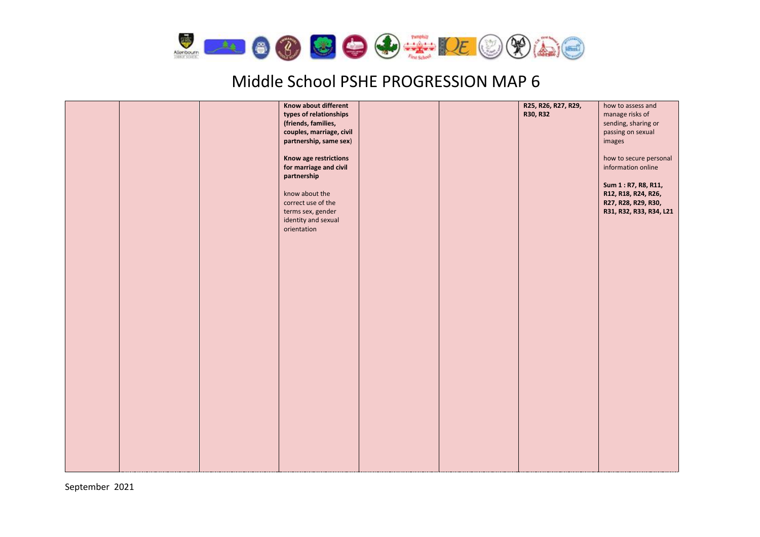

|  | Know about different<br>types of relationships<br>(friends, families,<br>couples, marriage, civil<br>partnership, same sex)<br>Know age restrictions<br>for marriage and civil<br>partnership<br>know about the<br>correct use of the<br>terms sex, gender<br>identity and sexual<br>orientation |  |  | R25, R26, R27, R29,<br>R30, R32 | how to assess and<br>manage risks of<br>sending, sharing or<br>passing on sexual<br>images<br>how to secure personal<br>information online<br>Sum 1 : R7, R8, R11,<br>R12, R18, R24, R26,<br>R27, R28, R29, R30,<br>R31, R32, R33, R34, L21 |
|--|--------------------------------------------------------------------------------------------------------------------------------------------------------------------------------------------------------------------------------------------------------------------------------------------------|--|--|---------------------------------|---------------------------------------------------------------------------------------------------------------------------------------------------------------------------------------------------------------------------------------------|
|--|--------------------------------------------------------------------------------------------------------------------------------------------------------------------------------------------------------------------------------------------------------------------------------------------------|--|--|---------------------------------|---------------------------------------------------------------------------------------------------------------------------------------------------------------------------------------------------------------------------------------------|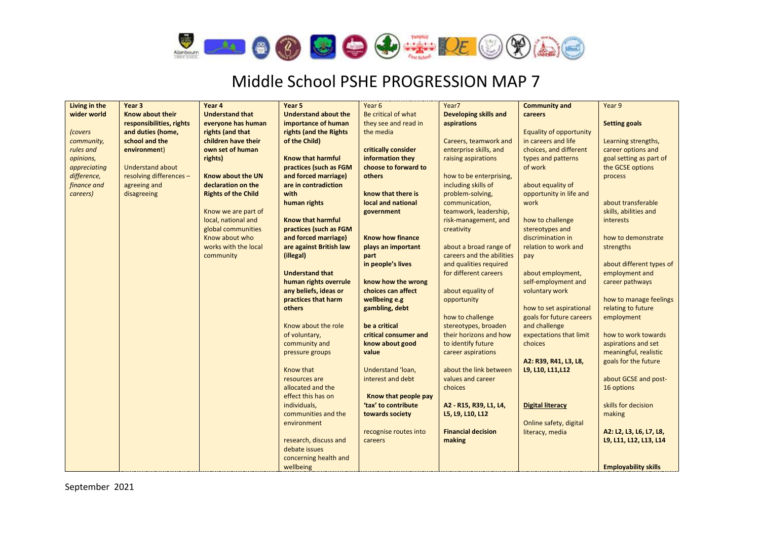

| Living in the | Year <sub>3</sub>        | Year 4                     | Year <sub>5</sub>           | Year 6                                 | Year7                                          | <b>Community and</b>               | Year 9                      |
|---------------|--------------------------|----------------------------|-----------------------------|----------------------------------------|------------------------------------------------|------------------------------------|-----------------------------|
| wider world   | Know about their         | <b>Understand that</b>     | <b>Understand about the</b> | Be critical of what                    | Developing skills and                          | careers                            |                             |
|               | responsibilities, rights | everyone has human         | importance of human         | they see and read in                   | aspirations                                    |                                    | <b>Setting goals</b>        |
| <i>covers</i> | and duties (home,        | rights (and that           | rights (and the Rights      | the media                              |                                                | Equality of opportunity            |                             |
| community,    | school and the           | children have their        | of the Child)               |                                        | Careers, teamwork and                          | in careers and life                | Learning strengths,         |
| rules and     | environment)             | own set of human           |                             | critically consider                    | enterprise skills, and                         | choices, and different             | career options and          |
| opinions,     |                          | rights)                    | <b>Know that harmful</b>    | information they                       | raising aspirations                            | types and patterns                 | goal setting as part of     |
| appreciating  | <b>Understand about</b>  |                            | practices (such as FGM      | choose to forward to                   |                                                | of work                            | the GCSE options            |
| difference,   | resolving differences -  | Know about the UN          | and forced marriage)        | others                                 | how to be enterprising.                        |                                    | process                     |
| finance and   | agreeing and             | declaration on the         | are in contradiction        |                                        | including skills of                            | about equality of                  |                             |
| careers)      | disagreeing              | <b>Rights of the Child</b> | with                        | know that there is                     | problem-solving,                               | opportunity in life and            |                             |
|               |                          |                            | human rights                | local and national                     | communication,                                 | work                               | about transferable          |
|               |                          | Know we are part of        |                             | government                             | teamwork, leadership,                          |                                    | skills, abilities and       |
|               |                          | local, national and        | <b>Know that harmful</b>    |                                        | risk-management, and                           | how to challenge                   | <b>interests</b>            |
|               |                          | global communities         | practices (such as FGM      |                                        | creativity                                     | stereotypes and                    |                             |
|               |                          | Know about who             | and forced marriage)        | <b>Know how finance</b>                |                                                | discrimination in                  | how to demonstrate          |
|               |                          | works with the local       | are against British law     | plays an important                     | about a broad range of                         | relation to work and               | strengths                   |
|               |                          | community                  | (illegal)                   | part                                   | careers and the abilities                      | pay                                |                             |
|               |                          |                            |                             | in people's lives                      | and qualities required                         |                                    | about different types of    |
|               |                          |                            | <b>Understand that</b>      |                                        | for different careers                          | about employment,                  | employment and              |
|               |                          |                            | human rights overrule       | know how the wrong                     |                                                | self-employment and                | career pathways             |
|               |                          |                            | any beliefs, ideas or       | choices can affect                     | about equality of                              | voluntary work                     |                             |
|               |                          |                            | practices that harm         | wellbeing e.g                          | opportunity                                    |                                    | how to manage feelings      |
|               |                          |                            | others                      | gambling, debt                         |                                                | how to set aspirational            | relating to future          |
|               |                          |                            |                             |                                        | how to challenge                               | goals for future careers           | employment                  |
|               |                          |                            | Know about the role         | be a critical<br>critical consumer and | stereotypes, broaden<br>their horizons and how | and challenge                      | how to work towards         |
|               |                          |                            | of voluntary,               |                                        | to identify future                             | expectations that limit<br>choices | aspirations and set         |
|               |                          |                            | community and               | know about good<br>value               |                                                |                                    | meaningful, realistic       |
|               |                          |                            | pressure groups             |                                        | career aspirations                             | A2: R39, R41, L3, L8,              | goals for the future        |
|               |                          |                            | Know that                   | Understand 'loan,                      | about the link between                         | L9, L10, L11, L12                  |                             |
|               |                          |                            | resources are               | interest and debt                      | values and career                              |                                    | about GCSE and post-        |
|               |                          |                            | allocated and the           |                                        | choices                                        |                                    | 16 options                  |
|               |                          |                            | effect this has on          | Know that people pay                   |                                                |                                    |                             |
|               |                          |                            | individuals,                | 'tax' to contribute                    | A2 - R15, R39, L1, L4,                         | <b>Digital literacy</b>            | skills for decision         |
|               |                          |                            | communities and the         | towards society                        | L5, L9, L10, L12                               |                                    | making                      |
|               |                          |                            | environment                 |                                        |                                                | Online safety, digital             |                             |
|               |                          |                            |                             | recognise routes into                  | <b>Financial decision</b>                      | literacy, media                    | A2: L2, L3, L6, L7, L8,     |
|               |                          |                            | research, discuss and       | careers                                | making                                         |                                    | L9, L11, L12, L13, L14      |
|               |                          |                            | debate issues               |                                        |                                                |                                    |                             |
|               |                          |                            | concerning health and       |                                        |                                                |                                    |                             |
|               |                          |                            | wellbeing                   |                                        |                                                |                                    | <b>Employability skills</b> |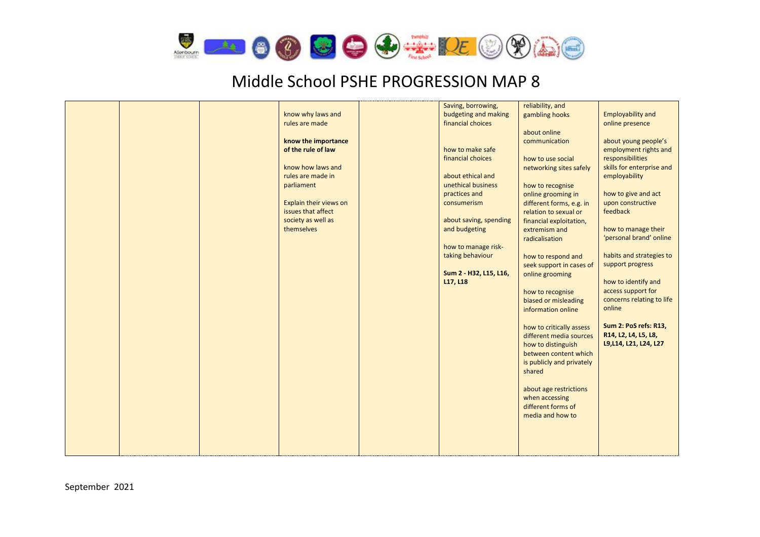

|  |                        | Saving, borrowing,     | reliability, and          |                                     |
|--|------------------------|------------------------|---------------------------|-------------------------------------|
|  | know why laws and      | budgeting and making   | gambling hooks            | <b>Employability and</b>            |
|  | rules are made         | financial choices      |                           | online presence                     |
|  |                        |                        | about online              |                                     |
|  | know the importance    |                        | communication             | about young people's                |
|  | of the rule of law     | how to make safe       |                           | employment rights and               |
|  |                        | financial choices      | how to use social         | responsibilities                    |
|  | know how laws and      |                        | networking sites safely   | skills for enterprise and           |
|  | rules are made in      | about ethical and      |                           | employability                       |
|  | parliament             | unethical business     | how to recognise          |                                     |
|  |                        | practices and          | online grooming in        | how to give and act                 |
|  | Explain their views on | consumerism            | different forms, e.g. in  | upon constructive                   |
|  | issues that affect     |                        | relation to sexual or     | feedback                            |
|  | society as well as     | about saving, spending | financial exploitation,   |                                     |
|  | themselves             | and budgeting          | extremism and             | how to manage their                 |
|  |                        |                        | radicalisation            | 'personal brand' online             |
|  |                        | how to manage risk-    |                           |                                     |
|  |                        | taking behaviour       | how to respond and        | habits and strategies to            |
|  |                        |                        | seek support in cases of  | support progress                    |
|  |                        | Sum 2 - H32, L15, L16, |                           |                                     |
|  |                        | L17, L18               | online grooming           | how to identify and                 |
|  |                        |                        |                           | access support for                  |
|  |                        |                        | how to recognise          |                                     |
|  |                        |                        | biased or misleading      | concerns relating to life<br>online |
|  |                        |                        | information online        |                                     |
|  |                        |                        |                           | <b>Sum 2: PoS refs: R13,</b>        |
|  |                        |                        | how to critically assess  |                                     |
|  |                        |                        | different media sources   | R14, L2, L4, L5, L8,                |
|  |                        |                        | how to distinguish        | L9, L14, L21, L24, L27              |
|  |                        |                        | between content which     |                                     |
|  |                        |                        | is publicly and privately |                                     |
|  |                        |                        | shared                    |                                     |
|  |                        |                        |                           |                                     |
|  |                        |                        | about age restrictions    |                                     |
|  |                        |                        | when accessing            |                                     |
|  |                        |                        | different forms of        |                                     |
|  |                        |                        | media and how to          |                                     |
|  |                        |                        |                           |                                     |
|  |                        |                        |                           |                                     |
|  |                        |                        |                           |                                     |
|  |                        |                        |                           |                                     |
|  |                        |                        |                           |                                     |